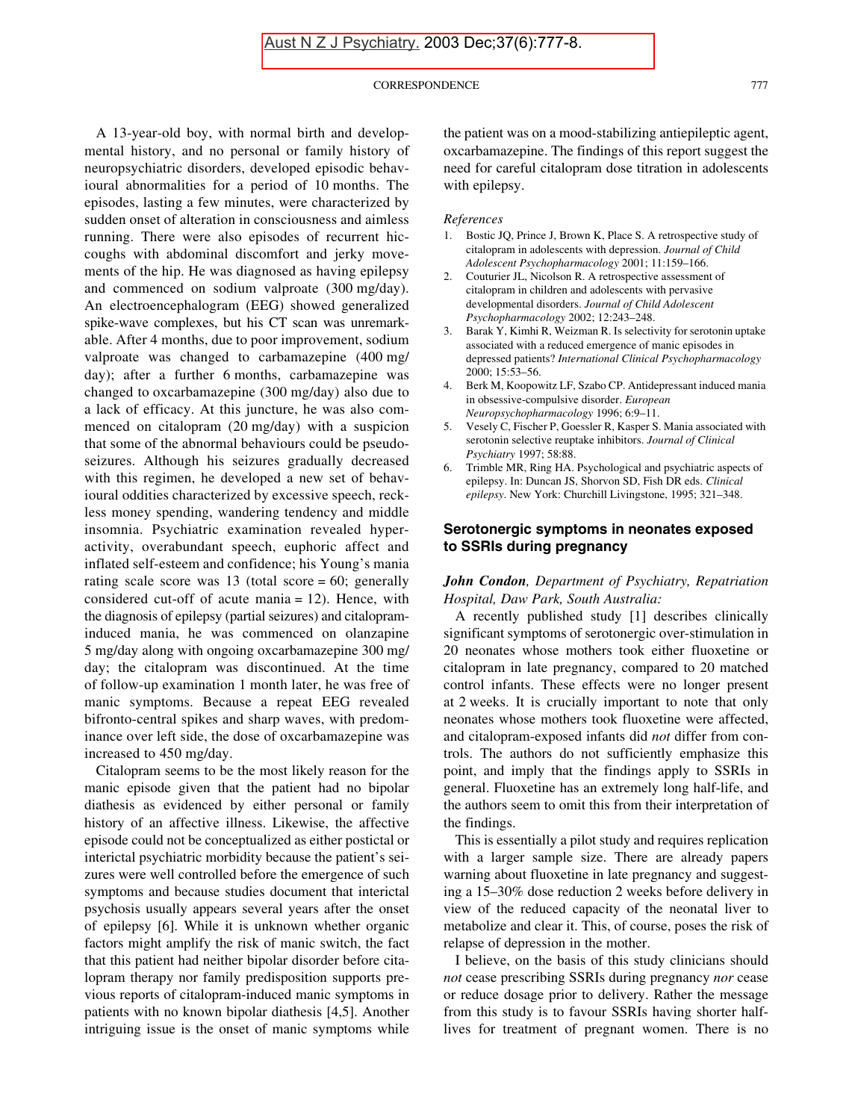#### CORRESPONDENCE 777

A 13-year-old boy, with normal birth and developmental history, and no personal or family history of neuropsychiatric disorders, developed episodic behavioural abnormalities for a period of 10 months. The episodes, lasting a few minutes, were characterized by sudden onset of alteration in consciousness and aimless running. There were also episodes of recurrent hiccoughs with abdominal discomfort and jerky movements of the hip. He was diagnosed as having epilepsy and commenced on sodium valproate (300 mg/day). An electroencephalogram (EEG) showed generalized spike-wave complexes, but his CT scan was unremarkable. After 4 months, due to poor improvement, sodium valproate was changed to carbamazepine (400 mg/ day); after a further 6 months, carbamazepine was changed to oxcarbamazepine (300 mg/day) also due to a lack of efficacy. At this juncture, he was also commenced on citalopram (20 mg/day) with a suspicion that some of the abnormal behaviours could be pseudoseizures. Although his seizures gradually decreased with this regimen, he developed a new set of behavioural oddities characterized by excessive speech, reckless money spending, wandering tendency and middle insomnia. Psychiatric examination revealed hyperactivity, overabundant speech, euphoric affect and inflated self-esteem and confidence; his Young's mania rating scale score was 13 (total score  $= 60$ ; generally considered cut-off of acute mania = 12). Hence, with the diagnosis of epilepsy (partial seizures) and citalopraminduced mania, he was commenced on olanzapine 5 mg/day along with ongoing oxcarbamazepine 300 mg/ day; the citalopram was discontinued. At the time of follow-up examination 1 month later, he was free of manic symptoms. Because a repeat EEG revealed bifronto-central spikes and sharp waves, with predominance over left side, the dose of oxcarbamazepine was increased to 450 mg/day.

Citalopram seems to be the most likely reason for the manic episode given that the patient had no bipolar diathesis as evidenced by either personal or family history of an affective illness. Likewise, the affective episode could not be conceptualized as either postictal or interictal psychiatric morbidity because the patient's seizures were well controlled before the emergence of such symptoms and because studies document that interictal psychosis usually appears several years after the onset of epilepsy [6]. While it is unknown whether organic factors might amplify the risk of manic switch, the fact that this patient had neither bipolar disorder before citalopram therapy nor family predisposition supports previous reports of citalopram-induced manic symptoms in patients with no known bipolar diathesis [4,5]. Another intriguing issue is the onset of manic symptoms while

the patient was on a mood-stabilizing antiepileptic agent, oxcarbamazepine. The findings of this report suggest the need for careful citalopram dose titration in adolescents with epilepsy.

### *References*

- 1. Bostic JQ, Prince J, Brown K, Place S. A retrospective study of citalopram in adolescents with depression. *Journal of Child Adolescent Psychopharmacology* 2001; 11:159–166.
- 2. Couturier JL, Nicolson R. A retrospective assessment of citalopram in children and adolescents with pervasive developmental disorders. *Journal of Child Adolescent Psychopharmacology* 2002; 12:243–248.
- 3. Barak Y, Kimhi R, Weizman R. Is selectivity for serotonin uptake associated with a reduced emergence of manic episodes in depressed patients? *International Clinical Psychopharmacology* 2000; 15:53–56.
- 4. Berk M, Koopowitz LF, Szabo CP. Antidepressant induced mania in obsessive-compulsive disorder. *European Neuropsychopharmacology* 1996; 6:9–11.
- 5. Vesely C, Fischer P, Goessler R, Kasper S. Mania associated with serotonin selective reuptake inhibitors. *Journal of Clinical Psychiatry* 1997; 58:88.
- 6. Trimble MR, Ring HA. Psychological and psychiatric aspects of epilepsy. In: Duncan JS, Shorvon SD, Fish DR eds. *Clinical epilepsy*. New York: Churchill Livingstone, 1995; 321–348.

# **Serotonergic symptoms in neonates exposed to SSRIs during pregnancy**

## *John Condon, Department of Psychiatry, Repatriation Hospital, Daw Park, South Australia:*

A recently published study [1] describes clinically significant symptoms of serotonergic over-stimulation in 20 neonates whose mothers took either fluoxetine or citalopram in late pregnancy, compared to 20 matched control infants. These effects were no longer present at 2 weeks. It is crucially important to note that only neonates whose mothers took fluoxetine were affected, and citalopram-exposed infants did *not* differ from controls. The authors do not sufficiently emphasize this point, and imply that the findings apply to SSRIs in general. Fluoxetine has an extremely long half-life, and the authors seem to omit this from their interpretation of the findings.

This is essentially a pilot study and requires replication with a larger sample size. There are already papers warning about fluoxetine in late pregnancy and suggesting a 15–30% dose reduction 2 weeks before delivery in view of the reduced capacity of the neonatal liver to metabolize and clear it. This, of course, poses the risk of relapse of depression in the mother.

I believe, on the basis of this study clinicians should *not* cease prescribing SSRIs during pregnancy *nor* cease or reduce dosage prior to delivery. Rather the message from this study is to favour SSRIs having shorter halflives for treatment of pregnant women. There is no